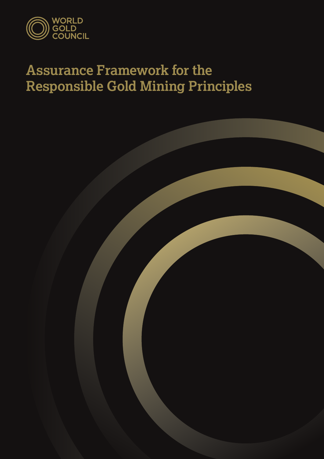

## **Assurance Framework for the Responsible Gold Mining Principles**

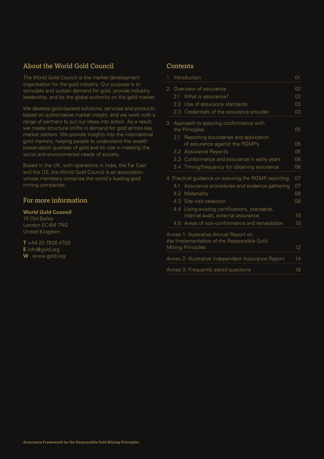## **About the World Gold Council**

The World Gold Council is the market development organisation for the gold industry. Our purpose is to stimulate and sustain demand for gold, provide industry leadership, and be the global authority on the gold market.

We develop gold-backed solutions, services and products, based on authoritative market insight, and we work with a range of partners to put our ideas into action. As a result, we create structural shifts in demand for gold across key market sectors. We provide insights into the international gold markets, helping people to understand the wealth preservation qualities of gold and its role in meeting the social and environmental needs of society.

Based in the UK, with operations in India, the Far East and the US, the World Gold Council is an association whose members comprise the world's leading gold mining companies.

## **For more information**

### **World Gold Council**

10 Old Bailey London EC4M 7NG United Kingdom

**T** +44 20 7826 4700 **E** info@gold.org **W** www.gold.org

## **Contents**

| 1. Introduction<br>01                                    |                                           |                                                                                      |    |  |  |
|----------------------------------------------------------|-------------------------------------------|--------------------------------------------------------------------------------------|----|--|--|
|                                                          | 2. Overview of assurance                  |                                                                                      |    |  |  |
|                                                          | 2.1                                       | What is assurance?                                                                   | 02 |  |  |
|                                                          |                                           | 2.2 Use of assurance standards                                                       | 03 |  |  |
|                                                          |                                           | 2.3 Credentials of the assurance provider                                            | 03 |  |  |
|                                                          |                                           | 3. Approach to assuring conformance with<br>the Principles                           | 05 |  |  |
|                                                          |                                           | 3.1 Reporting boundaries and application<br>of assurance against the RGMPs           | 05 |  |  |
|                                                          | 3.2                                       | <b>Assurance Reports</b>                                                             | 05 |  |  |
|                                                          | 3.3                                       | Conformance and assurance in early years                                             | 06 |  |  |
|                                                          |                                           | 3.4 Timing/frequency for obtaining assurance                                         | 06 |  |  |
| 4. Practical guidance on assuring the RGMP reporting     |                                           |                                                                                      | 07 |  |  |
|                                                          | 4.1                                       | Assurance procedures and evidence gathering                                          | 07 |  |  |
|                                                          | 4.2                                       | Materiality                                                                          | 08 |  |  |
|                                                          |                                           | 4.3 Site visit selection                                                             | 08 |  |  |
|                                                          |                                           | 4.4 Using existing certifications, standards,                                        |    |  |  |
|                                                          |                                           | internal audit, external assurance                                                   | 10 |  |  |
|                                                          |                                           | 4.5 Areas of non-conformance and remediation                                         | 10 |  |  |
|                                                          |                                           | Annex 1: Illustrative Annual Report on<br>the Implementation of the Responsible Gold |    |  |  |
|                                                          |                                           | <b>Mining Principles</b>                                                             | 12 |  |  |
| Annex 2: Illustrative Independent Assurance Report<br>14 |                                           |                                                                                      |    |  |  |
|                                                          | Annex 3: Frequently asked questions<br>16 |                                                                                      |    |  |  |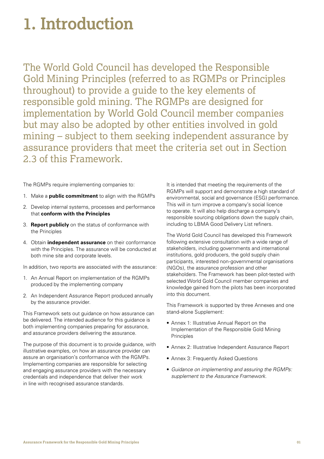## <span id="page-2-0"></span>**1. Introduction**

The World Gold Council has developed the Responsible Gold Mining Principles (referred to as RGMPs or Principles throughout) to provide a guide to the key elements of responsible gold mining. The RGMPs are designed for implementation by World Gold Council member companies but may also be adopted by other entities involved in gold mining – subject to them seeking independent assurance by assurance providers that meet the criteria set out in Section 2.3 of this Framework.

The RGMPs require implementing companies to:

- 1. Make a **public commitment** to align with the RGMPs
- 2. Develop internal systems, processes and performance that **conform with the Principles**
- 3. **Report publicly** on the status of conformance with the Principles
- 4. Obtain **independent assurance** on their conformance with the Principles. The assurance will be conducted at both mine site and corporate levels.

In addition, two reports are associated with the assurance:

- 1. An Annual Report on implementation of the RGMPs produced by the implementing company
- 2. An Independent Assurance Report produced annually by the assurance provider.

This Framework sets out guidance on how assurance can be delivered. The intended audience for this guidance is both implementing companies preparing for assurance, and assurance providers delivering the assurance.

The purpose of this document is to provide guidance, with illustrative examples, on how an assurance provider can assure an organisation's conformance with the RGMPs. Implementing companies are responsible for selecting and engaging assurance providers with the necessary credentials and independence that deliver their work in line with recognised assurance standards.

It is intended that meeting the requirements of the RGMPs will support and demonstrate a high standard of environmental, social and governance (ESG) performance. This will in turn improve a company's social licence to operate. It will also help discharge a company's responsible sourcing obligations down the supply chain, including to LBMA Good Delivery List refiners.

The World Gold Council has developed this Framework following extensive consultation with a wide range of stakeholders, including governments and international institutions, gold producers, the gold supply chain participants, interested non-governmental organisations (NGOs), the assurance profession and other stakeholders. The Framework has been pilot-tested with selected World Gold Council member companies and knowledge gained from the pilots has been incorporated into this document.

This Framework is supported by three Annexes and one stand-alone Supplement:

- Annex 1: Illustrative Annual Report on the Implementation of the Responsible Gold Mining Principles
- Annex 2: Illustrative Independent Assurance Report
- Annex 3: Frequently Asked Questions
- *Guidance on implementing and assuring the RGMPs: supplement to the Assurance Framework.*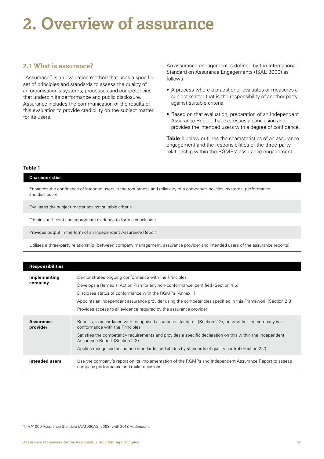## <span id="page-3-0"></span>**2. Overview of assurance**

## **2.1 What is assurance?**

"Assurance" is an evaluation method that uses a specific set of principles and standards to assess the quality of an organisation's systems, processes and competencies that underpin its performance and public disclosure. Assurance includes the communication of the results of this evaluation to provide credibility on the subject matter for its users.<sup>1</sup>

An assurance engagement is defined by the International Standard on Assurance Engagements (ISAE 3000) as follows:

- A process where a practitioner evaluates or measures a subject matter that is the responsibility of another party against suitable criteria
- Based on that evaluation, preparation of an Independent Assurance Report that expresses a conclusion and provides the intended users with a degree of confidence.

**Table 1** below outlines the characteristics of an assurance engagement and the responsibilities of the three-party relationship within the RGMPs' assurance engagement.

#### **Table 1**

#### **Characteristics**

Enhances the confidence of intended users in the robustness and reliability of a company's policies, systems, performance and disclosure

Evaluates the subject matter against suitable criteria

Obtains sufficient and appropriate evidence to form a conclusion

Provides output in the form of an Independent Assurance Report

Utilises a three-party relationship (between company management, assurance provider and intended users of the assurance reports).

| <b>Responsibilities</b>      |                                                                                                                                                                                                                                                                                                                                                                                             |
|------------------------------|---------------------------------------------------------------------------------------------------------------------------------------------------------------------------------------------------------------------------------------------------------------------------------------------------------------------------------------------------------------------------------------------|
| Implementing<br>company      | Demonstrates ongoing conformance with the Principles<br>Develops a Remedial Action Plan for any non-conformance identified (Section 4.5)<br>Discloses status of conformance with the RGMPs (Annex 1)<br>Appoints an independent assurance provider using the competencies specified in this Framework (Section 2.3)<br>Provides access to all evidence required by the assurance provider   |
| <b>Assurance</b><br>provider | Reports, in accordance with recognised assurance standards (Section 2.2), on whether the company is in<br>conformance with the Principles<br>Satisfies the competency requirements and provides a specific declaration on this within the Independent<br>Assurance Report (Section 2.3)<br>Applies recognised assurance standards, and abides by standards of quality control (Section 2.2) |
| Intended users               | Use the company's report on its implementation of the RGMPs and Independent Assurance Report to assess<br>company performance and make decisions.                                                                                                                                                                                                                                           |

1 AA1000 Assurance Standard (AA1000AS, 2008) with 2018 Addendum.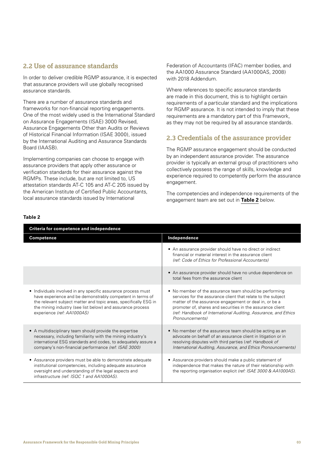## <span id="page-4-0"></span>**2.2 Use of assurance standards**

In order to deliver credible RGMP assurance, it is expected that assurance providers will use globally recognised assurance standards.

There are a number of assurance standards and frameworks for non-financial reporting engagements. One of the most widely used is the International Standard on Assurance Engagements (ISAE) 3000 Revised, Assurance Engagements Other than Audits or Reviews of Historical Financial Information (ISAE 3000), issued by the International Auditing and Assurance Standards Board (IAASB).

Implementing companies can choose to engage with assurance providers that apply other assurance or verification standards for their assurance against the RGMPs. These include, but are not limited to, US attestation standards AT-C 105 and AT-C 205 issued by the American Institute of Certified Public Accountants, local assurance standards issued by International

Federation of Accountants (IFAC) member bodies, and the AA1000 Assurance Standard (AA1000AS, 2008) with 2018 Addendum.

Where references to specific assurance standards are made in this document, this is to highlight certain requirements of a particular standard and the implications for RGMP assurance. It is not intended to imply that these requirements are a mandatory part of this Framework, as they may not be required by all assurance standards.

## **2.3 Credentials of the assurance provider**

The RGMP assurance engagement should be conducted by an independent assurance provider. The assurance provider is typically an external group of practitioners who collectively possess the range of skills, knowledge and experience required to competently perform the assurance engagement.

The competencies and independence requirements of the engagement team are set out in **Table 2** below.

| <b>Criteria for competence and independence</b>                                                                                                                                                                                                                                            |                                                                                                                                                                                                                                                                                                                                      |  |  |  |
|--------------------------------------------------------------------------------------------------------------------------------------------------------------------------------------------------------------------------------------------------------------------------------------------|--------------------------------------------------------------------------------------------------------------------------------------------------------------------------------------------------------------------------------------------------------------------------------------------------------------------------------------|--|--|--|
| <b>Competence</b>                                                                                                                                                                                                                                                                          | Independence                                                                                                                                                                                                                                                                                                                         |  |  |  |
|                                                                                                                                                                                                                                                                                            | • An assurance provider should have no direct or indirect<br>financial or material interest in the assurance client<br>(ref: Code of Ethics for Professional Accountants)                                                                                                                                                            |  |  |  |
|                                                                                                                                                                                                                                                                                            | • An assurance provider should have no undue dependence on<br>total fees from the assurance client                                                                                                                                                                                                                                   |  |  |  |
| • Individuals involved in any specific assurance process must<br>have experience and be demonstrably competent in terms of<br>the relevant subject matter and topic areas, specifically ESG in<br>the mining industry (see list below) and assurance process<br>experience (ref: AA1000AS) | • No member of the assurance team should be performing<br>services for the assurance client that relate to the subject<br>matter of the assurance engagement or deal in, or be a<br>promoter of, shares and securities in the assurance client<br>(ref: Handbook of International Auditing, Assurance, and Ethics<br>Pronouncements) |  |  |  |
| • A multidisciplinary team should provide the expertise<br>necessary, including familiarity with the mining industry's<br>international ESG standards and codes, to adequately assure a<br>company's non-financial performance (ref: ISAE 3000)                                            | • No member of the assurance team should be acting as an<br>advocate on behalf of an assurance client in litigation or in<br>resolving disputes with third parties (ref: Handbook of<br>International Auditing, Assurance, and Ethics Pronouncements)                                                                                |  |  |  |
| • Assurance providers must be able to demonstrate adequate<br>institutional competencies, including adequate assurance<br>oversight and understanding of the legal aspects and<br>infrastructure (ref: ISQC 1 and AA1000AS).                                                               | • Assurance providers should make a public statement of<br>independence that makes the nature of their relationship with<br>the reporting organisation explicit (ref: ISAE 3000 & AA1000AS).                                                                                                                                         |  |  |  |

#### **Table 2**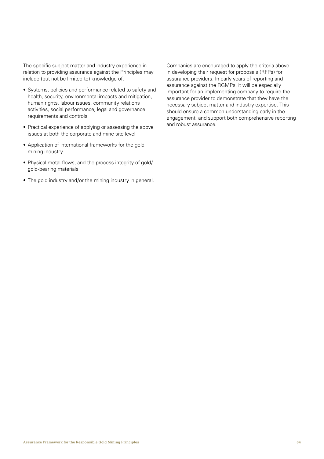The specific subject matter and industry experience in relation to providing assurance against the Principles may include (but not be limited to) knowledge of:

- Systems, policies and performance related to safety and health, security, environmental impacts and mitigation, human rights, labour issues, community relations activities, social performance, legal and governance requirements and controls
- Practical experience of applying or assessing the above issues at both the corporate and mine site level
- Application of international frameworks for the gold mining industry
- Physical metal flows, and the process integrity of gold/ gold-bearing materials
- The gold industry and/or the mining industry in general.

Companies are encouraged to apply the criteria above in developing their request for proposals (RFPs) for assurance providers. In early years of reporting and assurance against the RGMPs, it will be especially important for an implementing company to require the assurance provider to demonstrate that they have the necessary subject matter and industry expertise. This should ensure a common understanding early in the engagement, and support both comprehensive reporting and robust assurance.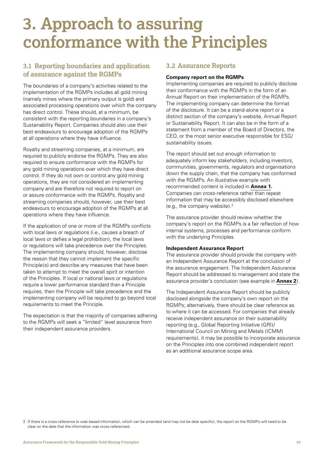## <span id="page-6-0"></span>**3. Approach to assuring conformance with the Principles**

## **3.1 Reporting boundaries and application of assurance against the RGMPs**

The boundaries of a company's activities related to the implementation of the RGMPs includes all gold mining (namely mines where the primary output is gold) and associated processing operations over which the company has direct control. These should, at a minimum, be consistent with the reporting boundaries in a company's Sustainability Report. Companies should also use their best endeavours to encourage adoption of the RGMPs at all operations where they have influence.

Royalty and streaming companies, at a minimum, are required to publicly endorse the RGMPs. They are also required to ensure conformance with the RGMPs for any gold mining operations over which they have direct control. If they do not own or control any gold mining operations, they are not considered an implementing company and are therefore not required to report on or assure conformance with the RGMPs. Royalty and streaming companies should, however, use their best endeavours to encourage adoption of the RGMPs at all operations where they have influence.

If the application of one or more of the RGMPs conflicts with local laws or regulations (i.e., causes a breach of local laws or defies a legal prohibition), the local laws or regulations will take precedence over the Principles. The implementing company should, however, disclose the reason that they cannot implement the specific Principle(s) and describe any measures that have been taken to attempt to meet the overall spirit or intention of the Principles. If local or national laws or regulations require a lower performance standard than a Principle requires, then the Principle will take precedence and the implementing company will be required to go beyond local requirements to meet the Principle.

The expectation is that the majority of companies adhering to the RGMPs will seek a "limited" level assurance from their independent assurance providers.

## **3.2 Assurance Reports**

### **Company report on the RGMPs**

Implementing companies are required to publicly disclose their conformance with the RGMPs in the form of an Annual Report on their implementation of the RGMPs. The implementing company can determine the format of the disclosure. It can be a stand-alone report or a distinct section of the company's website, Annual Report or Sustainability Report. It can also be in the form of a statement from a member of the Board of Directors, the CEO, or the most senior executive responsible for ESG/ sustainability issues.

The report should set out enough information to adequately inform key stakeholders, including investors, communities, governments, regulators and organisations down the supply chain, that the company has conformed with the RGMPs. An illustrative example with recommended content is included in **Annex 1.** Companies can cross-reference rather than repeat information that may be accessibly disclosed elsewhere (e.g., the company website).2

The assurance provider should review whether the company's report on the RGMPs is a fair reflection of how internal systems, processes and performance conform with the underlying Principles.

#### **Independent Assurance Report**

The assurance provider should provide the company with an Independent Assurance Report at the conclusion of the assurance engagement. The Independent Assurance Report should be addressed to management and state the assurance provider's conclusion (see example in **Annex 2**).

The Independent Assurance Report should be publicly disclosed alongside the company's own report on the RGMPs; alternatively, there should be clear reference as to where it can be accessed. For companies that already receive independent assurance on their sustainability reporting (e.g., Global Reporting Initiative (GRI)/ International Council on Mining and Metals (ICMM) requirements), it may be possible to incorporate assurance on the Principles into one combined independent report as an additional assurance scope area.

<sup>2</sup> If there is a cross-reference to web-based information, which can be amended (and may not be date specific), the report on the RGMPs will need to be clear on the date that the information was cross-referenced.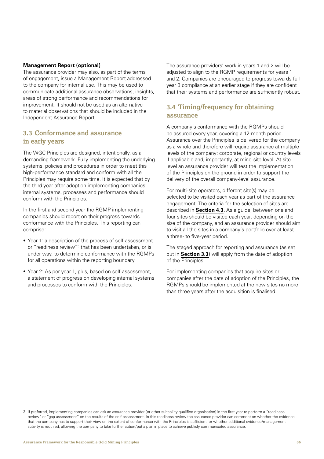#### <span id="page-7-0"></span>**Management Report (optional)**

The assurance provider may also, as part of the terms of engagement, issue a Management Report addressed to the company for internal use. This may be used to communicate additional assurance observations, insights, areas of strong performance and recommendations for improvement. It should not be used as an alternative to material observations that should be included in the Independent Assurance Report.

## **3.3 Conformance and assurance in early years**

The WGC Principles are designed, intentionally, as a demanding framework. Fully implementing the underlying systems, policies and procedures in order to meet this high-performance standard and conform with all the Principles may require some time. It is expected that by the third year after adoption implementing companies' internal systems, processes and performance should conform with the Principles.

In the first and second year the RGMP implementing companies should report on their progress towards conformance with the Principles. This reporting can comprise:

- Year 1: a description of the process of self-assessment or "readiness review"<sup>3</sup> that has been undertaken, or is under way, to determine conformance with the RGMPs for all operations within the reporting boundary
- Year 2: As per year 1, plus, based on self-assessment, a statement of progress on developing internal systems and processes to conform with the Principles.

The assurance providers' work in years 1 and 2 will be adjusted to align to the RGMP requirements for years 1 and 2. Companies are encouraged to progress towards full year 3 compliance at an earlier stage if they are confident that their systems and performance are sufficiently robust.

## **3.4 Timing/frequency for obtaining assurance**

A company's conformance with the RGMPs should be assured every year, covering a 12-month period. Assurance over the Principles is delivered for the company as a whole and therefore will require assurance at multiple levels of the company: corporate, regional or country levels if applicable and, importantly, at mine-site level. At site level an assurance provider will test the implementation of the Principles on the ground in order to support the delivery of the overall company-level assurance.

For multi-site operators, different site(s) may be selected to be visited each year as part of the assurance engagement. The criteria for the selection of sites are described in **Section 4.3.** As a guide, between one and four sites should be visited each year, depending on the size of the company, and an assurance provider should aim to visit all the sites in a company's portfolio over at least a three- to five-year period.

The staged approach for reporting and assurance (as set out in **Section 3.3**) will apply from the date of adoption of the Principles.

For implementing companies that acquire sites or companies after the date of adoption of the Principles, the RGMPs should be implemented at the new sites no more than three years after the acquisition is finalised.

<sup>3</sup> If preferred, implementing companies can ask an assurance provider (or other suitability qualified organisation) in the first year to perform a "readiness review" or "gap assessment" on the results of the self-assessment. In this readiness review the assurance provider can comment on whether the evidence that the company has to support their view on the extent of conformance with the Principles is sufficient, or whether additional evidence/management activity is required, allowing the company to take further action/put a plan in place to achieve publicly communicated assurance.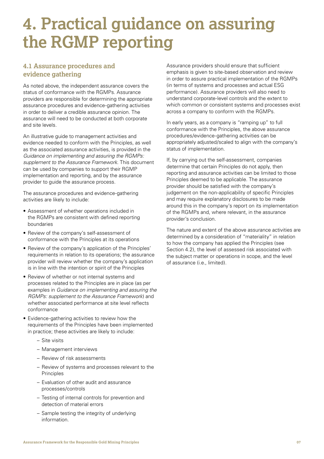## <span id="page-8-0"></span>**4. Practical guidance on assuring the RGMP reporting**

## **4.1 Assurance procedures and evidence gathering**

As noted above, the independent assurance covers the status of conformance with the RGMPs. Assurance providers are responsible for determining the appropriate assurance procedures and evidence-gathering activities in order to deliver a credible assurance opinion. The assurance will need to be conducted at both corporate and site levels.

An illustrative guide to management activities and evidence needed to conform with the Principles, as well as the associated assurance activities, is provided in the *Guidance on implementing and assuring the RGMPs: supplement to the Assurance Framework.* This document can be used by companies to support their RGMP implementation and reporting, and by the assurance provider to guide the assurance process.

The assurance procedures and evidence-gathering activities are likely to include:

- Assessment of whether operations included in the RGMPs are consistent with defined reporting boundaries
- Review of the company's self-assessment of conformance with the Principles at its operations
- Review of the company's application of the Principles' requirements in relation to its operations; the assurance provider will review whether the company's application is in line with the intention or spirit of the Principles
- Review of whether or not internal systems and processes related to the Principles are in place (as per examples in *Guidance on implementing and assuring the RGMPs: supplement to the Assurance Framework*) and whether associated performance at site level reflects conformance
- Evidence-gathering activities to review how the requirements of the Principles have been implemented in practice; these activities are likely to include:
	- Site visits
	- Management interviews
	- Review of risk assessments
	- Review of systems and processes relevant to the **Principles**
	- Evaluation of other audit and assurance processes/controls
	- Testing of internal controls for prevention and detection of material errors
	- Sample testing the integrity of underlying information.

Assurance providers should ensure that sufficient emphasis is given to site-based observation and review in order to assure practical implementation of the RGMPs (in terms of systems and processes and actual ESG performance). Assurance providers will also need to understand corporate-level controls and the extent to which common or consistent systems and processes exist across a company to conform with the RGMPs.

In early years, as a company is "ramping up" to full conformance with the Principles, the above assurance procedures/evidence-gathering activities can be appropriately adjusted/scaled to align with the company's status of implementation.

If, by carrying out the self-assessment, companies determine that certain Principles do not apply, then reporting and assurance activities can be limited to those Principles deemed to be applicable. The assurance provider should be satisfied with the company's judgement on the non-applicability of specific Principles and may require explanatory disclosures to be made around this in the company's report on its implementation of the RGMPs and, where relevant, in the assurance provider's conclusion.

The nature and extent of the above assurance activities are determined by a consideration of "materiality" in relation to how the company has applied the Principles (see Section 4.2), the level of assessed risk associated with the subject matter or operations in scope, and the level of assurance (i.e., limited).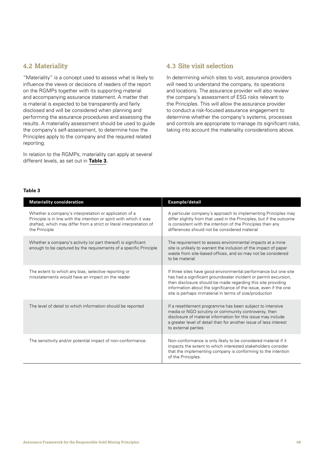## <span id="page-9-0"></span>**4.2 Materiality**

"Materiality" is a concept used to assess what is likely to influence the views or decisions of readers of the report on the RGMPs together with its supporting material and accompanying assurance statement. A matter that is material is expected to be transparently and fairly disclosed and will be considered when planning and performing the assurance procedures and assessing the results. A materiality assessment should be used to guide the company's self-assessment, to determine how the Principles apply to the company and the required related reporting.

In relation to the RGMPs, materiality can apply at several different levels, as set out in **Table 3.**

## **4.3 Site visit selection**

In determining which sites to visit, assurance providers will need to understand the company, its operations and locations. The assurance provider will also review the company's assessment of ESG risks relevant to the Principles. This will allow the assurance provider to conduct a risk-focused assurance engagement to determine whether the company's systems, processes and controls are appropriate to manage its significant risks, taking into account the materiality considerations above.

#### **Table 3**

| <b>Materiality consideration</b>                                                                                                                                                                                       | Example/detail                                                                                                                                                                                                                                                                                                                   |  |
|------------------------------------------------------------------------------------------------------------------------------------------------------------------------------------------------------------------------|----------------------------------------------------------------------------------------------------------------------------------------------------------------------------------------------------------------------------------------------------------------------------------------------------------------------------------|--|
| Whether a company's interpretation or application of a<br>Principle is in line with the intention or spirit with which it was<br>drafted, which may differ from a strict or literal interpretation of<br>the Principle | A particular company's approach to implementing Principles may<br>differ slightly from that used in the Principles, but if the outcome<br>is consistent with the intention of the Principles then any<br>differences should not be considered material                                                                           |  |
| Whether a company's activity (or part thereof) is significant<br>enough to be captured by the requirements of a specific Principle                                                                                     | The requirement to assess environmental impacts at a mine<br>site is unlikely to warrant the inclusion of the impact of paper<br>waste from site-based offices, and so may not be considered<br>to be material                                                                                                                   |  |
| The extent to which any bias, selective reporting or<br>misstatements would have an impact on the reader                                                                                                               | If three sites have good environmental performance but one site<br>has had a significant groundwater incident or permit excursion,<br>then disclosure should be made regarding this site providing<br>information about the significance of the issue, even if the one<br>site is perhaps immaterial in terms of size/production |  |
| The level of detail to which information should be reported                                                                                                                                                            | If a resettlement programme has been subject to intensive<br>media or NGO scrutiny or community controversy, then<br>disclosure of material information for this issue may include<br>a greater level of detail than for another issue of less interest<br>to external parties                                                   |  |
| The sensitivity and/or potential impact of non-conformance.                                                                                                                                                            | Non-conformance is only likely to be considered material if it<br>impacts the extent to which interested stakeholders consider<br>that the implementing company is conforming to the intention<br>of the Principles.                                                                                                             |  |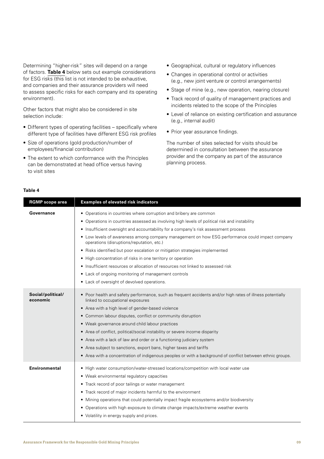Determining "higher-risk" sites will depend on a range of factors. **Table 4** below sets out example considerations for ESG risks (this list is not intended to be exhaustive, and companies and their assurance providers will need to assess specific risks for each company and its operating environment).

Other factors that might also be considered in site selection include:

- Different types of operating facilities specifically where different type of facilities have different ESG risk profiles
- Size of operations (gold production/number of employees/financial contribution)
- The extent to which conformance with the Principles can be demonstrated at head office versus having to visit sites
- Geographical, cultural or regulatory influences
- Changes in operational control or activities (e.g., new joint venture or control arrangements)
- Stage of mine (e.g., new operation, nearing closure)
- Track record of quality of management practices and incidents related to the scope of the Principles
- Level of reliance on existing certification and assurance (e.g., internal audit)
- Prior year assurance findings.

The number of sites selected for visits should be determined in consultation between the assurance provider and the company as part of the assurance planning process.

#### **Table 4**

| <b>RGMP</b> scope area        | <b>Examples of elevated risk indicators</b>                                                                                                                                                                                                                                                                                                                                                                                                                                                                                                                                                                                                                                                                                                     |
|-------------------------------|-------------------------------------------------------------------------------------------------------------------------------------------------------------------------------------------------------------------------------------------------------------------------------------------------------------------------------------------------------------------------------------------------------------------------------------------------------------------------------------------------------------------------------------------------------------------------------------------------------------------------------------------------------------------------------------------------------------------------------------------------|
| Governance                    | • Operations in countries where corruption and bribery are common<br>• Operations in countries assessed as involving high levels of political risk and instability<br>• Insufficient oversight and accountability for a company's risk assessment process<br>• Low levels of awareness among company management on how ESG performance could impact company<br>operations (disruptions/reputation, etc.)<br>• Risks identified but poor escalation or mitigation strategies implemented<br>• High concentration of risks in one territory or operation<br>• Insufficient resources or allocation of resources not linked to assessed risk<br>• Lack of ongoing monitoring of management controls<br>• Lack of oversight of devolved operations. |
| Social/political/<br>economic | • Poor health and safety performance, such as frequent accidents and/or high rates of illness potentially<br>linked to occupational exposures<br>• Area with a high level of gender-based violence<br>• Common labour disputes, conflict or community disruption<br>• Weak governance around child labour practices<br>• Area of conflict, political/social instability or severe income disparity<br>Area with a lack of law and order or a functioning judiciary system<br>$\bullet$<br>• Area subject to sanctions, export bans, higher taxes and tariffs<br>• Area with a concentration of indigenous peoples or with a background of conflict between ethnic groups.                                                                       |
| <b>Environmental</b>          | • High water consumption/water-stressed locations/competition with local water use<br>• Weak environmental regulatory capacities<br>• Track record of poor tailings or water management<br>• Track record of major incidents harmful to the environment<br>• Mining operations that could potentially impact fragile ecosystems and/or biodiversity<br>• Operations with high exposure to climate change impacts/extreme weather events<br>• Volatility in energy supply and prices.                                                                                                                                                                                                                                                            |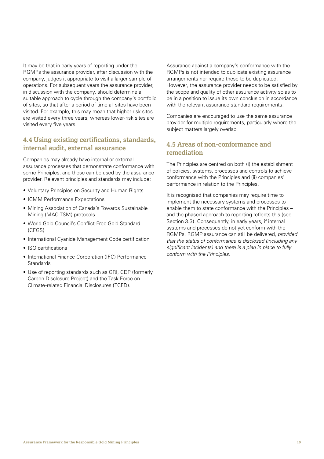<span id="page-11-0"></span>It may be that in early years of reporting under the RGMPs the assurance provider, after discussion with the company, judges it appropriate to visit a larger sample of operations. For subsequent years the assurance provider, in discussion with the company, should determine a suitable approach to cycle through the company's portfolio of sites, so that after a period of time all sites have been visited. For example, this may mean that higher-risk sites are visited every three years, whereas lower-risk sites are visited every five years.

## **4.4 Using existing certifications, standards, internal audit, external assurance**

Companies may already have internal or external assurance processes that demonstrate conformance with some Principles, and these can be used by the assurance provider. Relevant principles and standards may include:

- Voluntary Principles on Security and Human Rights
- ICMM Performance Expectations
- Mining Association of Canada's Towards Sustainable Mining (MAC-TSM) protocols
- World Gold Council's Conflict-Free Gold Standard (CFGS)
- International Cyanide Management Code certification
- ISO certifications
- International Finance Corporation (IFC) Performance **Standards**
- Use of reporting standards such as GRI, CDP (formerly Carbon Disclosure Project) and the Task Force on Climate-related Financial Disclosures (TCFD).

Assurance against a company's conformance with the RGMPs is not intended to duplicate existing assurance arrangements nor require these to be duplicated. However, the assurance provider needs to be satisfied by the scope and quality of other assurance activity so as to be in a position to issue its own conclusion in accordance with the relevant assurance standard requirements.

Companies are encouraged to use the same assurance provider for multiple requirements, particularly where the subject matters largely overlap.

## **4.5 Areas of non-conformance and remediation**

The Principles are centred on both (i) the establishment of policies, systems, processes and controls to achieve conformance with the Principles and (ii) companies' performance in relation to the Principles.

It is recognised that companies may require time to implement the necessary systems and processes to enable them to state conformance with the Principles – and the phased approach to reporting reflects this (see Section 3.3). Consequently, in early years, if internal systems and processes do not yet conform with the RGMPs, RGMP assurance can still be delivered, *provided that the status of conformance is disclosed (including any significant incidents) and there is a plan in place to fully conform with the Principles.*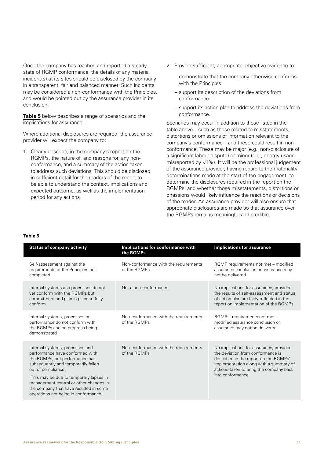Once the company has reached and reported a steady state of RGMP conformance, the details of any material incident(s) at its sites should be disclosed by the company in a transparent, fair and balanced manner. Such incidents may be considered a non-conformance with the Principles, and would be pointed out by the assurance provider in its conclusion.

**Table 5** below describes a range of scenarios and the implications for assurance.

Where additional disclosures are required, the assurance provider will expect the company to:

1 Clearly describe, in the company's report on the RGMPs, the nature of, and reasons for, any nonconformance, and a summary of the action taken to address such deviations. This should be disclosed in sufficient detail for the readers of the report to be able to understand the context, implications and expected outcome, as well as the implementation period for any actions

- 2 Provide sufficient, appropriate, objective evidence to:
	- demonstrate that the company otherwise conforms with the Principles
	- support its description of the deviations from conformance
	- support its action plan to address the deviations from conformance.

Scenarios may occur in addition to those listed in the table above – such as those related to misstatements, distortions or omissions of information relevant to the company's conformance – and these could result in nonconformance. These may be major (e.g., non-disclosure of a significant labour dispute) or minor (e.g., energy usage misreported by <1%). It will be the professional judgement of the assurance provider, having regard to the materiality determinations made at the start of the engagement, to determine the disclosures required in the report on the RGMPs, and whether those misstatements, distortions or omissions would likely influence the reactions or decisions of the reader. An assurance provider will also ensure that appropriate disclosures are made so that assurance over the RGMPs remains meaningful and credible.

#### **Table 5**

| <b>Status of company activity</b>                                                                                                                                   | Implications for conformance with<br>the RGMPs        | <b>Implications for assurance</b>                                                                                                                                                                                              |
|---------------------------------------------------------------------------------------------------------------------------------------------------------------------|-------------------------------------------------------|--------------------------------------------------------------------------------------------------------------------------------------------------------------------------------------------------------------------------------|
| Self-assessment against the<br>requirements of the Principles not<br>completed                                                                                      | Non-conformance with the requirements<br>of the RGMPs | RGMP requirements not met - modified<br>assurance conclusion or assurance may<br>not be delivered                                                                                                                              |
| Internal systems and processes do not<br>yet conform with the RGMPs but<br>commitment and plan in place to fully<br>conform                                         | Not a non-conformance                                 | No implications for assurance, provided<br>the results of self-assessment and status<br>of action plan are fairly reflected in the<br>report on implementation of the RGMPs                                                    |
| Internal systems, processes or<br>performance do not conform with<br>the RGMPs and no progress being<br>demonstrated                                                | Non-conformance with the requirements<br>of the RGMPs | RGMPs' requirements not met -<br>modified assurance conclusion or<br>assurance may not be delivered                                                                                                                            |
| Internal systems, processes and<br>performance have conformed with<br>the RGMPs, but performance has<br>subsequently and temporarily fallen<br>out of compliance.   | Non-conformance with the requirements<br>of the RGMPs | No implications for assurance, provided<br>the deviation from conformance is<br>described in the report on the RGMPs'<br>implementation along with a summary of<br>actions taken to bring the company back<br>into conformance |
| (This may be due to temporary lapses in<br>management control or other changes in<br>the company that have resulted in some<br>operations not being in conformance) |                                                       |                                                                                                                                                                                                                                |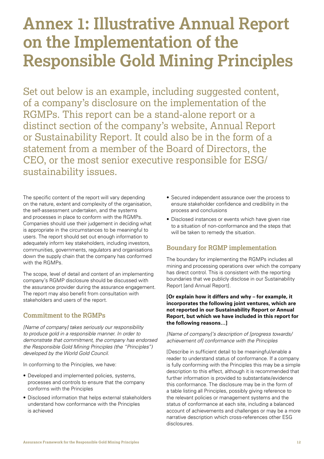## <span id="page-13-0"></span>**Annex 1: Illustrative Annual Report on the Implementation of the Responsible Gold Mining Principles**

Set out below is an example, including suggested content, of a company's disclosure on the implementation of the RGMPs. This report can be a stand-alone report or a distinct section of the company's website, Annual Report or Sustainability Report. It could also be in the form of a statement from a member of the Board of Directors, the CEO, or the most senior executive responsible for ESG/ sustainability issues.

The specific content of the report will vary depending on the nature, extent and complexity of the organisation, the self-assessment undertaken, and the systems and processes in place to conform with the RGMPs. Companies should use their judgement in deciding what is appropriate in the circumstances to be meaningful to users. The report should set out enough information to adequately inform key stakeholders, including investors, communities, governments, regulators and organisations down the supply chain that the company has conformed with the RGMPs.

The scope, level of detail and content of an implementing company's RGMP disclosure should be discussed with the assurance provider during the assurance engagement. The report may also benefit from consultation with stakeholders and users of the report.

## **Commitment to the RGMPs**

*[Name of company] takes seriously our responsibility to produce gold in a responsible manner. In order to demonstrate that commitment, the company has endorsed the Responsible Gold Mining Principles (the "Principles") developed by the World Gold Council.*

In conforming to the Principles, we have:

- Developed and implemented policies, systems, processes and controls to ensure that the company conforms with the Principles
- Disclosed information that helps external stakeholders understand how conformance with the Principles is achieved
- Secured independent assurance over the process to ensure stakeholder confidence and credibility in the process and conclusions
- Disclosed instances or events which have given rise to a situation of non-conformance and the steps that will be taken to remedy the situation.

## **Boundary for RGMP implementation**

The boundary for implementing the RGMPs includes all mining and processing operations over which the company has direct control. This is consistent with the reporting boundaries that we publicly disclose in our Sustainability Report [and Annual Report].

**[Or explain how it differs and why – for example, it incorporates the following joint ventures, which are not reported in our Sustainability Report or Annual Report, but which we have included in this report for the following reasons…]**

#### *[Name of company]'s description of [progress towards/ achievement of] conformance with the Principles*

[Describe in sufficient detail to be meaningful/enable a reader to understand status of conformance. If a company is fully conforming with the Principles this may be a simple description to this effect, although it is recommended that further information is provided to substantiate/evidence this conformance. The disclosure may be in the form of a table listing all Principles, possibly giving reference to the relevant policies or management systems and the status of conformance at each site, including a balanced account of achievements and challenges or may be a more narrative description which cross-references other ESG disclosures.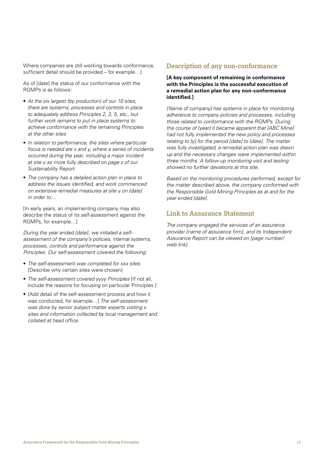Where companies are still working towards conformance, sufficient detail should be provided – for example…]

As of [date] the status of our conformance with the RGMPs is as follows:

- *At the six largest (by production) of our 10 sites, there are systems, processes and controls in place to adequately address Principles 2, 3, 5, etc., but further work remains to put in place systems to achieve conformance with the remaining Principles at the other sites*
- *In relation to performance, the sites where particular focus is needed are x and y, where a series of incidents occurred during the year, including a major incident at site y as more fully described on page z of our Sustainability Report*
- *The company has a detailed action plan in place to address the issues identified, and work commenced on extensive remedial measures at site y on [date] in order to…*

[In early years, an implementing company may also describe the status of its self-assessment against the RGMPs, for example…]

*During the year ended [date], we initiated a selfassessment of the company's policies, internal systems, processes, controls and performance against the Principles. Our self-assessment covered the following:*

- *The self-assessment was completed for xxx sites*  [Describe why certain sites were chosen]
- *The self-assessment covered yyyy Principles* [If not all, include the reasons for focusing on particular Principles.]
- [Add detail of the self-assessment process and how it was conducted, for example…] *The self-assessment was done by senior subject matter experts visiting x sites and information collected by local management and collated at head office.*

### **Description of any non-conformance**

#### **[A key component of remaining in conformance with the Principles is the successful execution of a remedial action plan for any non-conformance identified.]**

*[Name of company] has systems in place for monitoring adherence to company policies and processes, including those related to conformance with the RGMPs. During the course of [year] it became apparent that [ABC Mine] had not fully implemented the new policy and processes relating to [y] for the period [date] to [date]. The matter was fully investigated, a remedial action plan was drawn up and the necessary changes were implemented within three months. A follow-up monitoring visit and testing showed no further deviations at this site.*

*Based on the monitoring procedures performed, except for the matter described above, the company conformed with the Responsible Gold Mining Principles as at and for the year ended [date].* 

## **Link to Assurance Statement**

*The company engaged the services of an assurance provider [name of assurance firm], and its Independent Assurance Report can be viewed on [page number/ web link].*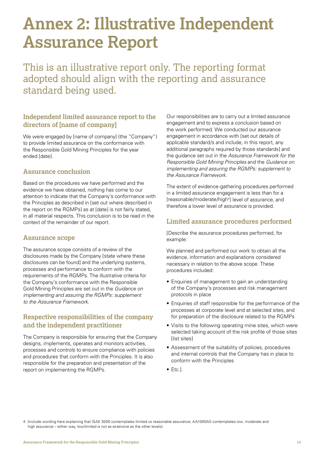## <span id="page-15-0"></span>**Annex 2: Illustrative Independent Assurance Report**

This is an illustrative report only. The reporting format adopted should align with the reporting and assurance standard being used.

## **Independent limited assurance report to the directors of [name of company]**

We were engaged by [name of company] (the "Company") to provide limited assurance on the conformance with the Responsible Gold Mining Principles for the year ended [date].

## **Assurance conclusion**

Based on the procedures we have performed and the evidence we have obtained, nothing has come to our attention to indicate that the Company's conformance with the Principles as described in [set out where described in the report on the RGMPs] as at [date] is not fairly stated, in all material respects. This conclusion is to be read in the context of the remainder of our report.

## **Assurance scope**

The assurance scope consists of a review of the disclosures made by the Company [state where these disclosures can be found] and the underlying systems, processes and performance to conform with the requirements of the RGMPs. The illustrative criteria for the Company's conformance with the Responsible Gold Mining Principles are set out in the *Guidance on implementing and assuring the RGMPs: supplement to the Assurance Framework.* 

## **Respective responsibilities of the company and the independent practitioner**

The Company is responsible for ensuring that the Company designs, implements, operates and monitors activities, processes and controls to ensure compliance with policies and procedures that conform with the Principles. It is also responsible for the preparation and presentation of the report on implementing the RGMPs.

Our responsibilities are to carry out a limited assurance engagement and to express a conclusion based on the work performed. We conducted our assurance engagement in accordance with [set out details of applicable standard/s and include, in this report, any additional paragraphs required by those standards] and the guidance set out in the *Assurance Framework for the Responsible Gold Mining Principles* and the *Guidance on implementing and assuring the RGMPs: supplement to the Assurance Framework.*

The extent of evidence-gathering procedures performed in a limited assurance engagement is less than for a [reasonable/moderate/high4] level of assurance, and therefore a lower level of assurance is provided.

## **Limited assurance procedures performed**

[Describe the assurance procedures performed, for example:

We planned and performed our work to obtain all the evidence, information and explanations considered necessary in relation to the above scope. These procedures included:

- Enquiries of management to gain an understanding of the Company's processes and risk management protocols in place
- Enquiries of staff responsible for the performance of the processes at corporate level and at selected sites, and for preparation of the disclosure related to the RGMPs
- Visits to the following operating mine sites, which were selected taking account of the risk profile of those sites [list sites]
- Assessment of the suitability of policies, procedures and internal controls that the Company has in place to conform with the Principles
- Etc.].

<sup>4 [</sup>include wording here explaining that ISAE 3000 contemplates limited vs reasonable assurance; AA1000AS contemplates low, moderate and high assurance – either way, low/limited is not as extensive as the other levels].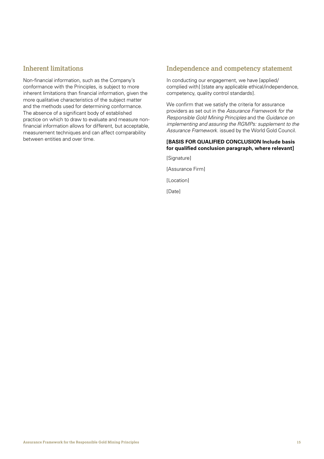## **Inherent limitations**

Non-financial information, such as the Company's conformance with the Principles, is subject to more inherent limitations than financial information, given the more qualitative characteristics of the subject matter and the methods used for determining conformance. The absence of a significant body of established practice on which to draw to evaluate and measure nonfinancial information allows for different, but acceptable, measurement techniques and can affect comparability between entities and over time.

## **Independence and competency statement**

In conducting our engagement, we have [applied/ complied with] [state any applicable ethical/independence, competency, quality control standards].

We confirm that we satisfy the criteria for assurance providers as set out in the *Assurance Framework for the Responsible Gold Mining Principles* and the *Guidance on implementing and assuring the RGMPs: supplement to the Assurance Framework*. issued by the World Gold Council.

### **[BASIS FOR QUALIFIED CONCLUSION Include basis for qualified conclusion paragraph, where relevant]**

[Signature]

[Assurance Firm]

[Location]

[Date]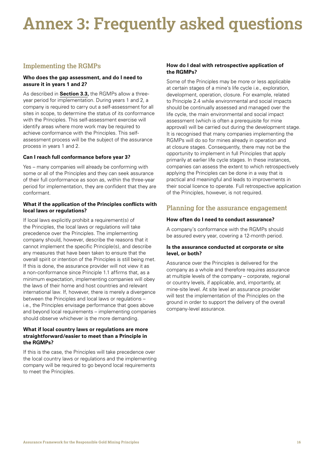# <span id="page-17-0"></span>**Annex 3: Frequently asked questions**

## **Implementing the RGMPs**

#### **Who does the gap assessment, and do I need to assure it in years 1 and 2?**

As described in **Section 3.3,** the RGMPs allow a threeyear period for implementation. During years 1 and 2, a company is required to carry out a self-assessment for all sites in scope, to determine the status of its conformance with the Principles. This self-assessment exercise will identify areas where more work may be required to achieve conformance with the Principles. This selfassessment process will be the subject of the assurance process in years 1 and 2.

#### **Can I reach full conformance before year 3?**

Yes – many companies will already be conforming with some or all of the Principles and they can seek assurance of their full conformance as soon as, within the three-year period for implementation, they are confident that they are conformant.

#### **What if the application of the Principles conflicts with local laws or regulations?**

If local laws explicitly prohibit a requirement(s) of the Principles, the local laws or regulations will take precedence over the Principles. The implementing company should, however, describe the reasons that it cannot implement the specific Principle(s), and describe any measures that have been taken to ensure that the overall spirit or intention of the Principles is still being met. If this is done, the assurance provider will not view it as a non-conformance since Principle 1.1 affirms that, as a minimum expectation, implementing companies will obey the laws of their home and host countries and relevant international law. If, however, there is merely a divergence between the Principles and local laws or regulations – i.e., the Principles envisage performance that goes above and beyond local requirements – implementing companies should observe whichever is the more demanding.

#### **What if local country laws or regulations are more straightforward/easier to meet than a Principle in the RGMPs?**

If this is the case, the Principles will take precedence over the local country laws or regulations and the implementing company will be required to go beyond local requirements to meet the Principles.

#### **How do I deal with retrospective application of the RGMPs?**

Some of the Principles may be more or less applicable at certain stages of a mine's life cycle i.e., exploration, development, operation, closure. For example, related to Principle 2.4 while environmental and social impacts should be continually assessed and managed over the life cycle, the main environmental and social impact assessment (which is often a prerequisite for mine approval) will be carried out during the development stage. It is recognised that many companies implementing the RGMPs will do so for mines already in operation and at closure stages. Consequently, there may not be the opportunity to implement in full Principles that apply primarily at earlier life cycle stages. In these instances, companies can assess the extent to which retrospectively applying the Principles can be done in a way that is practical and meaningful and leads to improvements in their social licence to operate. Full retrospective application of the Principles, however, is not required.

## **Planning for the assurance engagement**

#### **How often do I need to conduct assurance?**

A company's conformance with the RGMPs should be assured every year, covering a 12-month period.

#### **Is the assurance conducted at corporate or site level, or both?**

Assurance over the Principles is delivered for the company as a whole and therefore requires assurance at multiple levels of the company – corporate, regional or country levels, if applicable, and, importantly, at mine-site level. At site level an assurance provider will test the implementation of the Principles on the ground in order to support the delivery of the overall company-level assurance.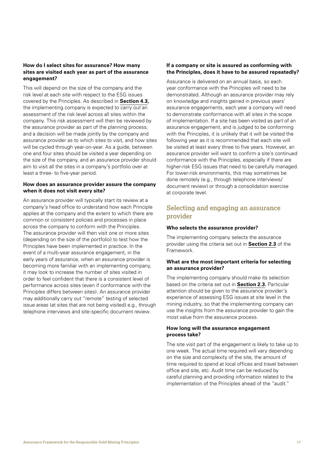#### **How do I select sites for assurance? How many sites are visited each year as part of the assurance engagement?**

This will depend on the size of the company and the risk level at each site with respect to the ESG issues covered by the Principles. As described in **Section 4.3,** the implementing company is expected to carry out an assessment of the risk level across all sites within the company. This risk assessment will then be reviewed by the assurance provider as part of the planning process, and a decision will be made jointly by the company and assurance provider as to which sites to visit, and how sites will be cycled through year-on-year. As a guide, between one and four sites should be visited a year depending on the size of the company, and an assurance provider should aim to visit all the sites in a company's portfolio over at least a three- to five-year period.

#### **How does an assurance provider assure the company when it does not visit every site?**

An assurance provider will typically start its review at a company's head office to understand how each Principle applies at the company and the extent to which there are common or consistent policies and processes in place across the company to conform with the Principles. The assurance provider will then visit one or more sites (depending on the size of the portfolio) to test how the Principles have been implemented in practice. In the event of a multi-year assurance engagement, in the early years of assurance, when an assurance provider is becoming more familiar with an implementing company, it may look to increase the number of sites visited in order to feel confident that there is a consistent level of performance across sites (even if conformance with the Principles differs between sites). An assurance provider may additionally carry out "remote" testing of selected issue areas (at sites that are not being visited) e.g., through telephone interviews and site-specific document review.

#### **If a company or site is assured as conforming with the Principles, does it have to be assured repeatedly?**

Assurance is delivered on an annual basis, so each year conformance with the Principles will need to be demonstrated. Although an assurance provider may rely on knowledge and insights gained in previous years' assurance engagements, each year a company will need to demonstrate conformance with all sites in the scope of implementation. If a site has been visited as part of an assurance engagement, and is judged to be conforming with the Principles, it is unlikely that it will be visited the following year as it is recommended that each site will be visited at least every three to five years. However, an assurance provider will want to confirm a site's continued conformance with the Principles, especially if there are higher-risk ESG issues that need to be carefully managed. For lower-risk environments, this may sometimes be done remotely (e.g., through telephone interviews/ document review) or through a consolidation exercise at corporate level.

## **Selecting and engaging an assurance provider**

#### **Who selects the assurance provider?**

The implementing company selects the assurance provider using the criteria set out in **Section 2.3** of the Framework.

#### **What are the most important criteria for selecting an assurance provider?**

The implementing company should make its selection based on the criteria set out in **Section 2.3.** Particular attention should be given to the assurance provider's experience of assessing ESG issues at site level in the mining industry, so that the implementing company can use the insights from the assurance provider to gain the most value from the assurance process.

#### **How long will the assurance engagement process take?**

The site visit part of the engagement is likely to take up to one week. The actual time required will vary depending on the size and complexity of the site, the amount of time required to spend at local offices and travel between office and site, etc. Audit time can be reduced by careful planning and providing information related to the implementation of the Principles ahead of the "audit."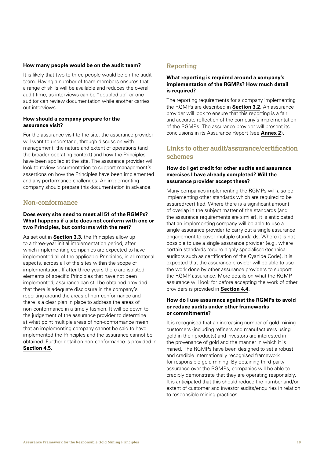#### **How many people would be on the audit team?**

It is likely that two to three people would be on the audit team. Having a number of team members ensures that a range of skills will be available and reduces the overall audit time, as interviews can be "doubled up" or one auditor can review documentation while another carries out interviews.

#### **How should a company prepare for the assurance visit?**

For the assurance visit to the site, the assurance provider will want to understand, through discussion with management, the nature and extent of operations (and the broader operating context) and how the Principles have been applied at the site. The assurance provider will look to review documentation to support management's assertions on how the Principles have been implemented and any performance challenges. An implementing company should prepare this documentation in advance.

## **Non-conformance**

#### **Does every site need to meet all 51 of the RGMPs? What happens if a site does not conform with one or two Principles, but conforms with the rest?**

As set out in **Section 3.3,** the Principles allow up to a three-year initial implementation period, after which implementing companies are expected to have implemented all of the applicable Principles, in all material aspects, across all of the sites within the scope of implementation. If after three years there are isolated elements of specific Principles that have not been implemented, assurance can still be obtained provided that there is adequate disclosure in the company's reporting around the areas of non-conformance and there is a clear plan in place to address the areas of non-conformance in a timely fashion. It will be down to the judgement of the assurance provider to determine at what point multiple areas of non-conformance mean that an implementing company cannot be said to have implemented the Principles and the assurance cannot be obtained. Further detail on non-conformance is provided in **Section 4.5.**

### **Reporting**

#### **What reporting is required around a company's implementation of the RGMPs? How much detail is required?**

The reporting requirements for a company implementing the RGMPs are described in **Section 3.2.** An assurance provider will look to ensure that this reporting is a fair and accurate reflection of the company's implementation of the RGMPs. The assurance provider will present its conclusions in its Assurance Report (see **Annex 2**).

## **Links to other audit/assurance/certification schemes**

#### **How do I get credit for other audits and assurance exercises I have already completed? Will the assurance provider accept these?**

Many companies implementing the RGMPs will also be implementing other standards which are required to be assured/certified. Where there is a significant amount of overlap in the subject matter of the standards (and the assurance requirements are similar), it is anticipated that an implementing company will be able to use a single assurance provider to carry out a single assurance engagement to cover multiple standards. Where it is not possible to use a single assurance provider (e.g., where certain standards require highly specialised/technical auditors such as certification of the Cyanide Code), it is expected that the assurance provider will be able to use the work done by other assurance providers to support the RGMP assurance. More details on what the RGMP assurance will look for before accepting the work of other providers is provided in **Section 4.4.**

#### **How do I use assurance against the RGMPs to avoid or reduce audits under other frameworks or commitments?**

It is recognised that an increasing number of gold mining customers (including refiners and manufacturers using gold in their products) and investors are interested in the provenance of gold and the manner in which it is mined. The RGMPs have been designed to set a robust and credible internationally recognised framework for responsible gold mining. By obtaining third-party assurance over the RGMPs, companies will be able to credibly demonstrate that they are operating responsibly. It is anticipated that this should reduce the number and/or extent of customer and investor audits/enquiries in relation to responsible mining practices.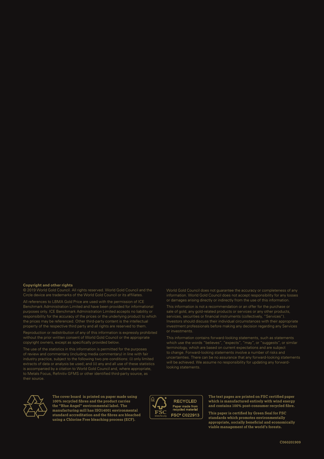#### **Copyright and other rights**

© 2019 World Gold Council. All rights reserved. World Gold Council and the Circle device are trademarks of the World Gold Council or its affiliates.

All references to LBMA Gold Price are used with the permission of ICE Benchmark Administration Limited and have been provided for informational purposes only. ICE Benchmark Administration Limited accepts no liability or responsibility for the accuracy of the prices or the underlying product to which the prices may be referenced. Other third-party content is the intellectual property of the respective third party and all rights are reserved to them.

Reproduction or redistribution of any of this information is expressly prohibited without the prior written consent of World Gold Council or the appropriate copyright owners, except as specifically provided below.

The use of the statistics in this information is permitted for the purposes of review and commentary (including media commentary) in line with fair industry practice, subject to the following two pre-conditions: (i) only limited extracts of data or analysis be used; and (ii) any and all use of these statistics is accompanied by a citation to World Gold Council and, where appropriate, to Metals Focus, Refinitiv GFMS or other identified third-party source, as their source.

World Gold Council does not guarantee the accuracy or completeness of any information. World Gold Council does not accept responsibility for any losses or damages arising directly or indirectly from the use of this information.

sale of gold, any gold-related products or services or any other products, services, securities or financial instruments (collectively, "Services"). Investors should discuss their individual circumstances with their appropriate investment professionals before making any decision regarding any Services or investments.

This information contains forward-looking statements, such as statements which use the words "believes", "expects", "may", or "suggests", or similar terminology, which are based on current expectations and are subject to change. Forward-looking statements involve a number of risks and uncertainties. There can be no assurance that any forward-looking statements will be achieved. We assume no responsibility for updating any forwardlooking statements.



**The cover board is printed on paper made using 100% recycled fibres and the product carries the "Blue Angel" environmental label. The manufacturing mill has ISO14001 environmental standard accreditation and the fibres are bleached using a Chlorine Free bleaching process (ECF).**



**The text pages are printed on FSC certified paper which is manufactured entirely with wind energy and contains 100% post-consumer recycled fibre.**

**This paper is certified by Green Seal for FSC standards which promotes environmentally appropriate, socially beneficial and economically viable management of the world's forests.**